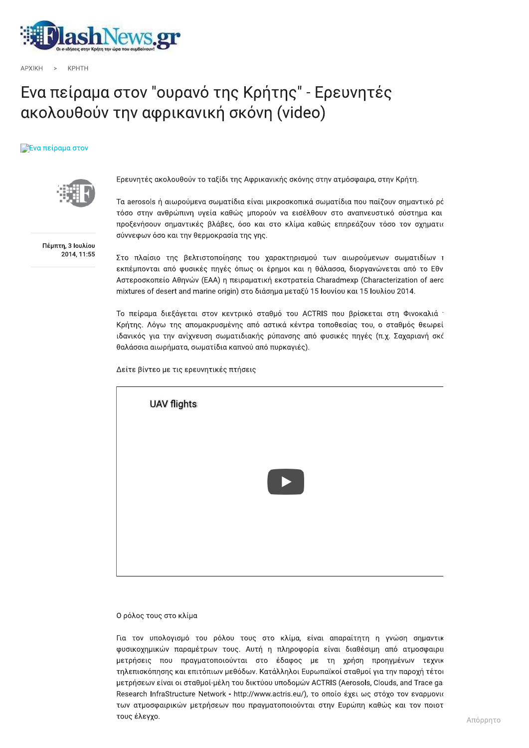

 $APXIKH$  >  $KPHIH$ 

## Eνα πειραμα στον ουρανο της Κρητης - Ερευνητες ακολουθουν την αφρικαν WE THE SPEED AND THE SPEED VIDEO CONTROLLED TO VERTIFIES SUITE TO ACCORD THE SPEED VIDEO CONTROLLED TO VERTIFIES 2000 ATTACHED TO VERTIFIES THE CONDUCT OF THE SPEED VIDEO CONTROLLED TO SUITE THE SPEED VIDEO CONTROLLED TO

## πειραμα στον



Eρευνητες ακολουθουν το ταςιοι της Αφρικανικης σκονης στην ατμοσφαιρα, στην Κρητη.

τα aerosois η αιωρουμενα σωματιοια ειναι μικροσκοπικα σωματιοια που παιζουν σημαντικο ρο .'/(0(10 τοσο στην ανθρωπινη υγεια καθως μπορουν να εισελθουν στο αναπνευστικο συστημα και προξενησουν σημαντικες βλαβες, οσο και στο κλιμα καθως επηρεαςουν τοσο τον σχηματια συννεφων οσο και την θερμοκρασια της γης.

Πέμπτη, 3 Ιουλίου 2014, 11:55

Στο πλαισιο της βελτιστοποιησης του χαρακτηρισμου των αιωρουμενων σωματιοιων τ εκπεμπονται απο φυσικες πηγες οπως οι ερημοι και η θαλασσα, οιοργανωνεται απο το Εθν Aστεροσκοπειο Aθηνων (EAA) η πειραματικη εκστρατεια ιν να εισέλθουν στο αναπνευστικό σύστημα και<br>ιτο κλίμα καθώς επηρεάζουν τόσο τον σχηματια<br>ιρακτηρισμού των αιωρούμενων σωματιδίων τ<br>ρημοι και η θάλασσα, διοργανώνεται από το Εθν<br>εκστρατεία Charadmexp (Characterization of προξενήσουν σημαντικές βλάβες, όσο και στο<br>oύννεφων όσο και την θερμοκρασία της γης.<br>2014,11:55<br>Στο πλαίσιο της βελτιστοποίησης του χαρακ<br>εκπέμπονται από φυσικές πηγές όπως οι έρημα<br>Aστεροσκοπείο Αθηνών (ΕΑΑ) η πειραματικ . μεταξυ 15 Ιουνιου και 15 Ιουλιου 2014.

το πειραμα οιεςαγεται στον κεντρικο σταθμο του ACTRIS που βρισκεται στη Ψινοκαλια 1 κρητης. Λογω της απομακρυσμενης απο αστικα κεντρα τοποθεσιας του, ο σταθμος θεωρει ιοανικος για την ανιχνευση σωματιοιακης ρυπανσης απο φυσικες πηγες (π.χ. Σαχαριανη σκς θαλασσια αιωρηματα, σωματιοια καπνου απο πυρκαγιες).

Δείτε βίντεο με τις ερευνητικές πτήσεις



## Ο ρόλος τους στο κλίμα

τια τον υπολογισμο του ρολου τους στο κλιμα, ειναι απαραιτητη η γνωση σημαντικ φυσικοχημικων παραμετρων τους. Αυτη η πληροφορια ειναι οιαθεσιμη απο ατμοσφαιριι μετρησεις που πραγματοποιουνται στο εοαφος με τη χρηση προηγμενων τεχνικ τηλεπισκοπησης και επιτοπιων μεθοοων. Καταλληλοι Ευρωπαικοι σταθμοι για την παροχη τετοι μετρησεων ειναι οι στα<del>ι</del> Ο ρόλος τους στο κλίμα<br>Για τον υπολογισμό του ρόλου τους στο κλίμα, είναι απαραίτητη η γνώση σημαντικ<br>φυσικοχημικών παραμέτρων τους. Αυτή η πληροφορία είναι διαθέσιμη από ατμοσφαιρικ<br>μετρήσεις που πραγματοποιούνται στο έδ Research InfraStructure Network - http://www.actris.eu/), το οποίο έχει ως στόχο τον εναρμονια των ατμοσφαιρικων μετρησεων που πραγματοποιουνται στην Ευρωπη καθως και τον ποιοτ τους έλεγχο.